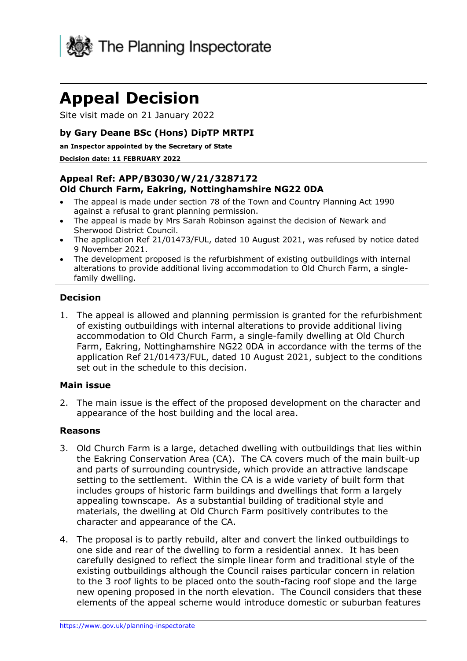

# **Appeal Decision**

Site visit made on 21 January 2022

## **by Gary Deane BSc (Hons) DipTP MRTPI**

**an Inspector appointed by the Secretary of State**

#### **Decision date: 11 FEBRUARY 2022**

## **Appeal Ref: APP/B3030/W/21/3287172 Old Church Farm, Eakring, Nottinghamshire NG22 0DA**

- The appeal is made under section 78 of the Town and Country Planning Act 1990 against a refusal to grant planning permission.
- The appeal is made by Mrs Sarah Robinson against the decision of Newark and Sherwood District Council.
- The application Ref 21/01473/FUL, dated 10 August 2021, was refused by notice dated 9 November 2021.
- The development proposed is the refurbishment of existing outbuildings with internal alterations to provide additional living accommodation to Old Church Farm, a singlefamily dwelling.

## **Decision**

1. The appeal is allowed and planning permission is granted for the refurbishment of existing outbuildings with internal alterations to provide additional living accommodation to Old Church Farm, a single-family dwelling at Old Church Farm, Eakring, Nottinghamshire NG22 0DA in accordance with the terms of the application Ref 21/01473/FUL, dated 10 August 2021, subject to the conditions set out in the schedule to this decision.

#### **Main issue**

2. The main issue is the effect of the proposed development on the character and appearance of the host building and the local area.

### **Reasons**

- 3. Old Church Farm is a large, detached dwelling with outbuildings that lies within the Eakring Conservation Area (CA). The CA covers much of the main built-up and parts of surrounding countryside, which provide an attractive landscape setting to the settlement. Within the CA is a wide variety of built form that includes groups of historic farm buildings and dwellings that form a largely appealing townscape. As a substantial building of traditional style and materials, the dwelling at Old Church Farm positively contributes to the character and appearance of the CA.
- 4. The proposal is to partly rebuild, alter and convert the linked outbuildings to one side and rear of the dwelling to form a residential annex. It has been carefully designed to reflect the simple linear form and traditional style of the existing outbuildings although the Council raises particular concern in relation to the 3 roof lights to be placed onto the south-facing roof slope and the large new opening proposed in the north elevation. The Council considers that these elements of the appeal scheme would introduce domestic or suburban features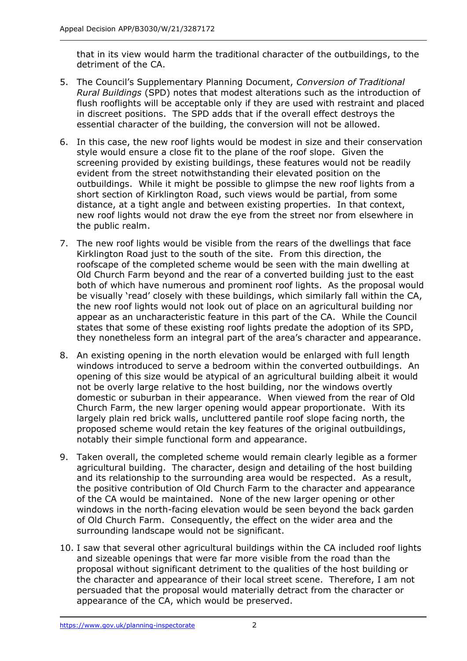that in its view would harm the traditional character of the outbuildings, to the detriment of the CA.

- 5. The Council's Supplementary Planning Document, *Conversion of Traditional Rural Buildings* (SPD) notes that modest alterations such as the introduction of flush rooflights will be acceptable only if they are used with restraint and placed in discreet positions. The SPD adds that if the overall effect destroys the essential character of the building, the conversion will not be allowed.
- 6. In this case, the new roof lights would be modest in size and their conservation style would ensure a close fit to the plane of the roof slope. Given the screening provided by existing buildings, these features would not be readily evident from the street notwithstanding their elevated position on the outbuildings. While it might be possible to glimpse the new roof lights from a short section of Kirklington Road, such views would be partial, from some distance, at a tight angle and between existing properties. In that context, new roof lights would not draw the eye from the street nor from elsewhere in the public realm.
- 7. The new roof lights would be visible from the rears of the dwellings that face Kirklington Road just to the south of the site. From this direction, the roofscape of the completed scheme would be seen with the main dwelling at Old Church Farm beyond and the rear of a converted building just to the east both of which have numerous and prominent roof lights. As the proposal would be visually 'read' closely with these buildings, which similarly fall within the CA, the new roof lights would not look out of place on an agricultural building nor appear as an uncharacteristic feature in this part of the CA. While the Council states that some of these existing roof lights predate the adoption of its SPD, they nonetheless form an integral part of the area's character and appearance.
- 8. An existing opening in the north elevation would be enlarged with full length windows introduced to serve a bedroom within the converted outbuildings. An opening of this size would be atypical of an agricultural building albeit it would not be overly large relative to the host building, nor the windows overtly domestic or suburban in their appearance. When viewed from the rear of Old Church Farm, the new larger opening would appear proportionate. With its largely plain red brick walls, uncluttered pantile roof slope facing north, the proposed scheme would retain the key features of the original outbuildings, notably their simple functional form and appearance.
- 9. Taken overall, the completed scheme would remain clearly legible as a former agricultural building. The character, design and detailing of the host building and its relationship to the surrounding area would be respected. As a result, the positive contribution of Old Church Farm to the character and appearance of the CA would be maintained. None of the new larger opening or other windows in the north-facing elevation would be seen beyond the back garden of Old Church Farm. Consequently, the effect on the wider area and the surrounding landscape would not be significant.
- 10. I saw that several other agricultural buildings within the CA included roof lights and sizeable openings that were far more visible from the road than the proposal without significant detriment to the qualities of the host building or the character and appearance of their local street scene. Therefore, I am not persuaded that the proposal would materially detract from the character or appearance of the CA, which would be preserved.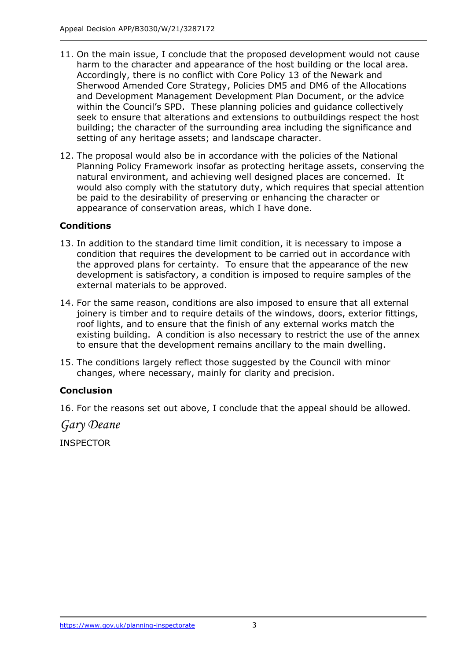- 11. On the main issue, I conclude that the proposed development would not cause harm to the character and appearance of the host building or the local area. Accordingly, there is no conflict with Core Policy 13 of the Newark and Sherwood Amended Core Strategy, Policies DM5 and DM6 of the Allocations and Development Management Development Plan Document, or the advice within the Council's SPD. These planning policies and guidance collectively seek to ensure that alterations and extensions to outbuildings respect the host building; the character of the surrounding area including the significance and setting of any heritage assets; and landscape character.
- 12. The proposal would also be in accordance with the policies of the National Planning Policy Framework insofar as protecting heritage assets, conserving the natural environment, and achieving well designed places are concerned. It would also comply with the statutory duty, which requires that special attention be paid to the desirability of preserving or enhancing the character or appearance of conservation areas, which I have done.

## **Conditions**

- 13. In addition to the standard time limit condition, it is necessary to impose a condition that requires the development to be carried out in accordance with the approved plans for certainty. To ensure that the appearance of the new development is satisfactory, a condition is imposed to require samples of the external materials to be approved.
- 14. For the same reason, conditions are also imposed to ensure that all external joinery is timber and to require details of the windows, doors, exterior fittings, roof lights, and to ensure that the finish of any external works match the existing building. A condition is also necessary to restrict the use of the annex to ensure that the development remains ancillary to the main dwelling.
- 15. The conditions largely reflect those suggested by the Council with minor changes, where necessary, mainly for clarity and precision.

## **Conclusion**

16. For the reasons set out above, I conclude that the appeal should be allowed.

*Gary Deane*

INSPECTOR